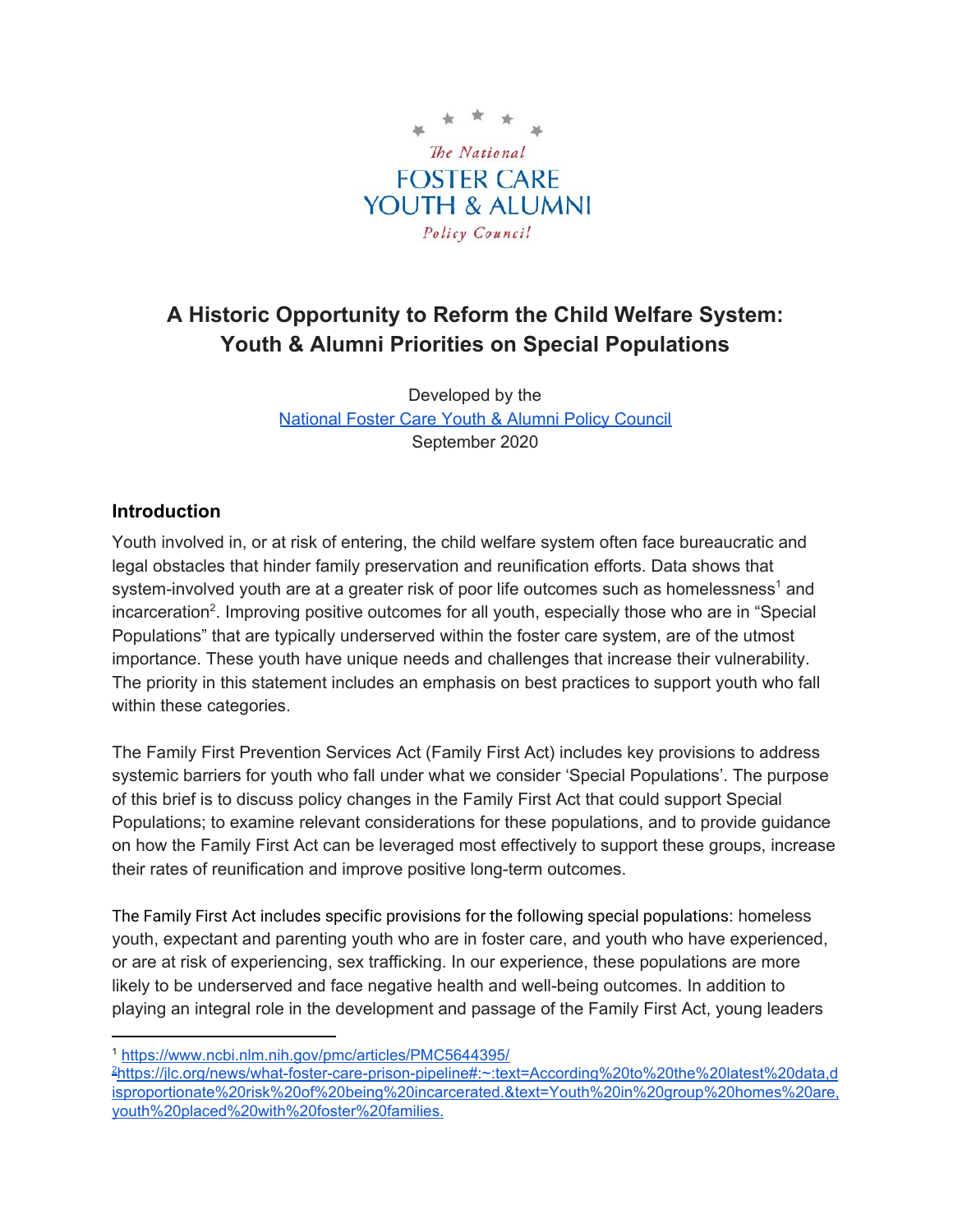

# **A Historic Opportunity to Reform the Child Welfare System: Youth & Alumni Priorities on Special Populations**

Developed by the [National](http://nationalpolicycouncil.org/) Foster Care Youth & Alumni Policy Council September 2020

#### **Introduction**

Youth involved in, or at risk of entering, the child welfare system often face bureaucratic and legal obstacles that hinder family preservation and reunification efforts. Data shows that system-involved youth are at a greater risk of poor life outcomes such as homelessness<sup>1</sup> and incarceration<sup>2</sup>. Improving positive outcomes for all youth, especially those who are in "Special Populations" that are typically underserved within the foster care system, are of the utmost importance. These youth have unique needs and challenges that increase their vulnerability. The priority in this statement includes an emphasis on best practices to support youth who fall within these categories.

The Family First Prevention Services Act (Family First Act) includes key provisions to address systemic barriers for youth who fall under what we consider 'Special Populations'. The purpose of this brief is to discuss policy changes in the Family First Act that could support Special Populations; to examine relevant considerations for these populations, and to provide guidance on how the Family First Act can be leveraged most effectively to support these groups, increase their rates of reunification and improve positive long-term outcomes.

The Family First Act includes specific provisions for the following special populations: homeless youth, expectant and parenting youth who are in foster care, and youth who have experienced, or are at risk of experiencing, sex trafficking. In our experience, these populations are more likely to be underserved and face negative health and well-being outcomes. In addition to playing an integral role in the development and passage of the Family First Act, young leaders

<sup>1</sup> <https://www.ncbi.nlm.nih.gov/pmc/articles/PMC5644395/>

<sup>2</sup>[https://jlc.org/news/what-foster-care-prison-pipeline#:~:text=According%20to%20the%20latest%20data,d](https://jlc.org/news/what-foster-care-prison-pipeline#:~:text=According%20to%20the%20latest%20data,disproportionate%20risk%20of%20being%20incarcerated.&text=Youth%20in%20group%20homes%20are,youth%20placed%20with%20foster%20families.) [isproportionate%20risk%20of%20being%20incarcerated.&text=Youth%20in%20group%20homes%20are,](https://jlc.org/news/what-foster-care-prison-pipeline#:~:text=According%20to%20the%20latest%20data,disproportionate%20risk%20of%20being%20incarcerated.&text=Youth%20in%20group%20homes%20are,youth%20placed%20with%20foster%20families.) [youth%20placed%20with%20foster%20families.](https://jlc.org/news/what-foster-care-prison-pipeline#:~:text=According%20to%20the%20latest%20data,disproportionate%20risk%20of%20being%20incarcerated.&text=Youth%20in%20group%20homes%20are,youth%20placed%20with%20foster%20families.)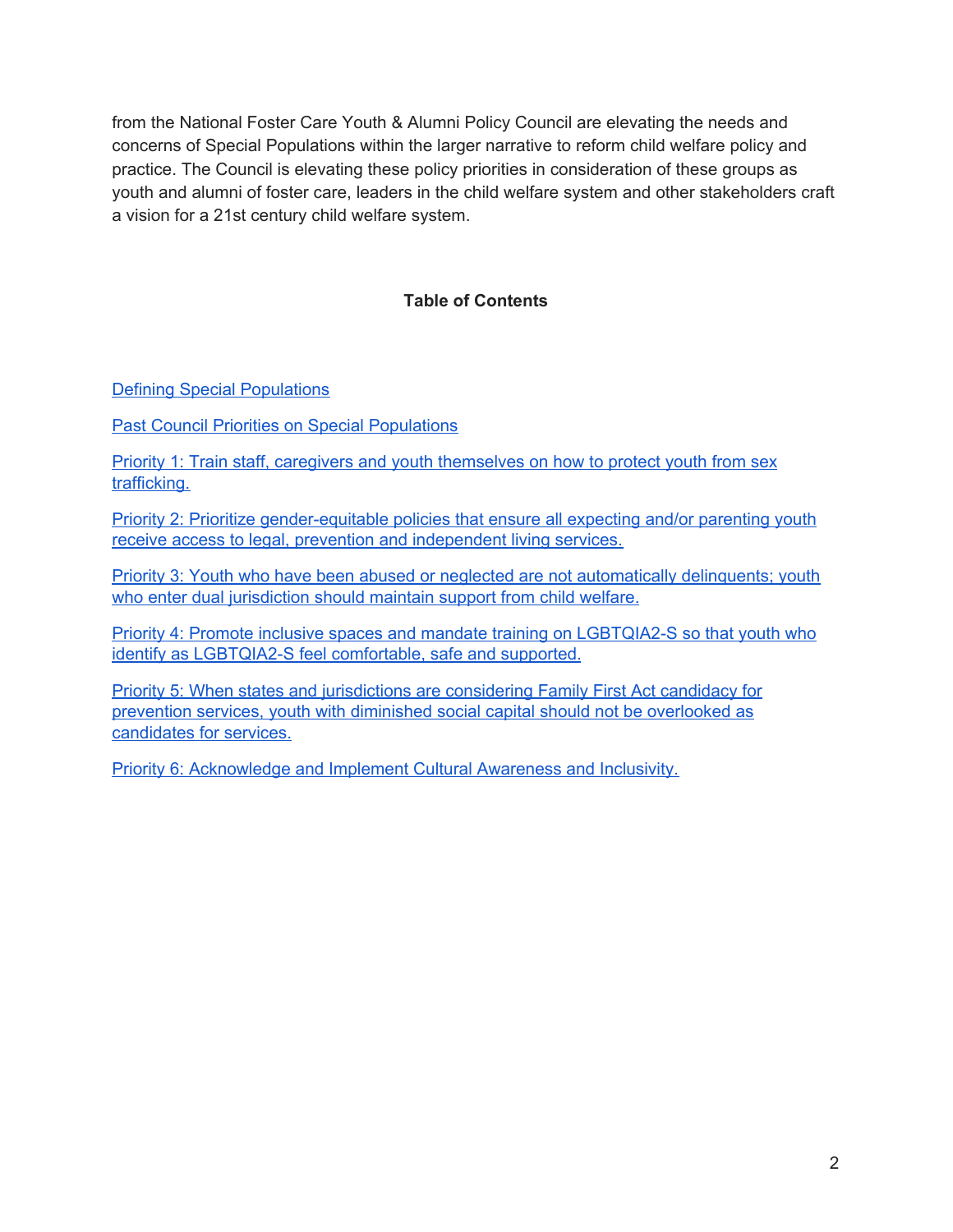from the National Foster Care Youth & Alumni Policy Council are elevating the needs and concerns of Special Populations within the larger narrative to reform child welfare policy and practice. The Council is elevating these policy priorities in consideration of these groups as youth and alumni of foster care, leaders in the child welfare system and other stakeholders craft a vision for a 21st century child welfare system.

#### **Table of Contents**

Defining Special [Populations](#page-2-0)

Past Council Priorities on Special [Populations](#page-2-1)

Priority 1: Train staff, caregivers and youth [themselves](#page-2-2) on how to protect youth from sex [trafficking.](#page-2-2)

Priority 2: Prioritize [gender-equitable](#page-5-0) policies that ensure all expecting and/or parenting youth receive access to legal, prevention and [independent](#page-5-0) living services.

Priority 3: Youth who have been abused or neglected are not [automatically](#page-7-0) delinquents; youth who enter dual [jurisdiction](#page-7-0) should maintain support from child welfare.

Priority 4: Promote inclusive spaces and mandate training on LGBTQIA2-S so that youth who identify as LGBTQIA2-S feel comfortable, safe and supported.

Priority 5: When states and [jurisdictions](#page-9-0) are considering Family First Act candidacy for prevention services, youth with diminished social capital should not be [overlooked](#page-9-0) as [candidates](#page-9-0) for services.

Priority 6: [Acknowledge](#page-11-0) and Implement Cultural Awareness and Inclusivity.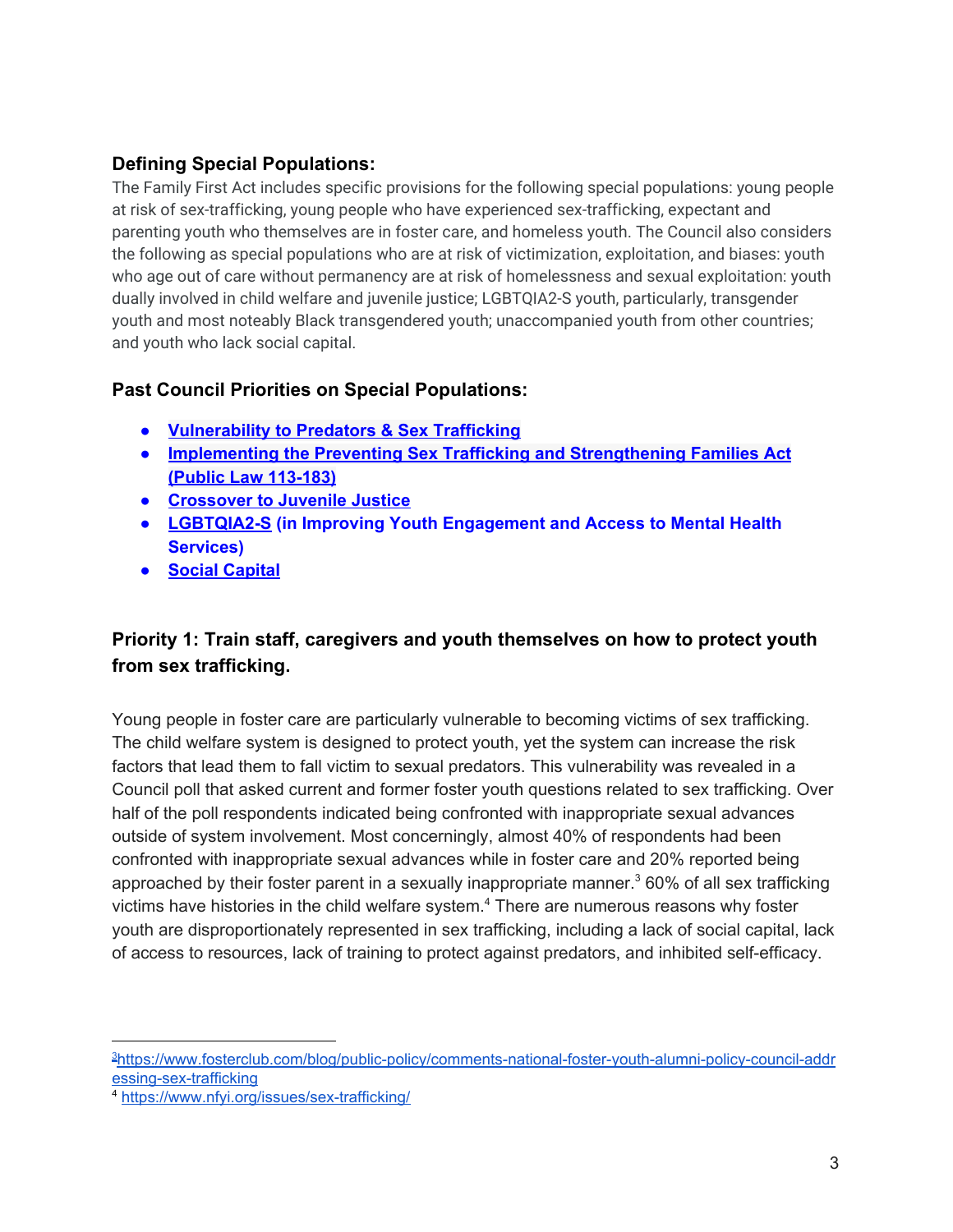## <span id="page-2-0"></span>**Defining Special Populations:**

The Family First Act includes specific provisions for the following special populations: young people at risk of sex-trafficking, young people who have experienced sex-trafficking, expectant and parenting youth who themselves are in foster care, and homeless youth. The Council also considers the following as special populations who are at risk of victimization, exploitation, and biases: youth who age out of care without permanency are at risk of homelessness and sexual exploitation: youth dually involved in child welfare and juvenile justice; LGBTQIA2-S youth, particularly, transgender youth and most noteably Black transgendered youth; unaccompanied youth from other countries; and youth who lack social capital.

### <span id="page-2-1"></span>**Past Council Priorities on Special Populations:**

- **● [Vulnerability](http://nationalpolicycouncil.org/sites/default/files/docs/landingpage/Vulnerability%20Priorities.pdf) to Predators & Sex Trafficking**
- **● Implementing the Preventing Sex Trafficking and [Strengthening](http://nationalpolicycouncil.org/sites/default/files/docs/landingpage/Public%20Law%20113_183%20Priorities.pdf) Families Act (Public Law [113-183\)](http://nationalpolicycouncil.org/sites/default/files/docs/landingpage/Public%20Law%20113_183%20Priorities.pdf)**
- **● [Crossover](http://nationalpolicycouncil.org/sites/default/files/docs/landingpage/Crossover%20Youth%20Priorities.pdf) to Juvenile Justice**
- **● [LGBTQIA2-S](http://nationalpolicycouncil.org/sites/default/files/docs/landingpage/Mental%20Health%20Priorities.pdf) (in Improving Youth Engagement and Access to Mental Health Services)**
- **● Social [Capital](http://nationalpolicycouncil.org/sites/default/files/docs/landingpage/Improving%20Social%20Capital%20for%20Youth%20in%20Foster%20Care%20%281%29.pdf)**

## <span id="page-2-2"></span>**Priority 1: Train staff, caregivers and youth themselves on how to protect youth from sex trafficking.**

Young people in foster care are particularly vulnerable to becoming victims of sex trafficking. The child welfare system is designed to protect youth, yet the system can increase the risk factors that lead them to fall victim to sexual predators. This vulnerability was revealed in a Council poll that asked current and former foster youth questions related to sex trafficking. Over half of the poll respondents indicated being confronted with inappropriate sexual advances outside of system involvement. Most concerningly, almost 40% of respondents had been confronted with inappropriate sexual advances while in foster care and 20% reported being approached by their foster parent in a sexually inappropriate manner.<sup>3</sup> 60% of all sex trafficking victims have histories in the child welfare system. $4$  There are numerous reasons why foster youth are disproportionately represented in sex trafficking, including a lack of social capital, lack of access to resources, lack of training to protect against predators, and inhibited self-efficacy.

<sup>3</sup>[https://www.fosterclub.com/blog/public-policy/comments-national-foster-youth-alumni-policy-council-addr](https://www.fosterclub.com/blog/public-policy/comments-national-foster-youth-alumni-policy-council-addressing-sex-trafficking) [essing-sex-trafficking](https://www.fosterclub.com/blog/public-policy/comments-national-foster-youth-alumni-policy-council-addressing-sex-trafficking)

<sup>4</sup> <https://www.nfyi.org/issues/sex-trafficking/>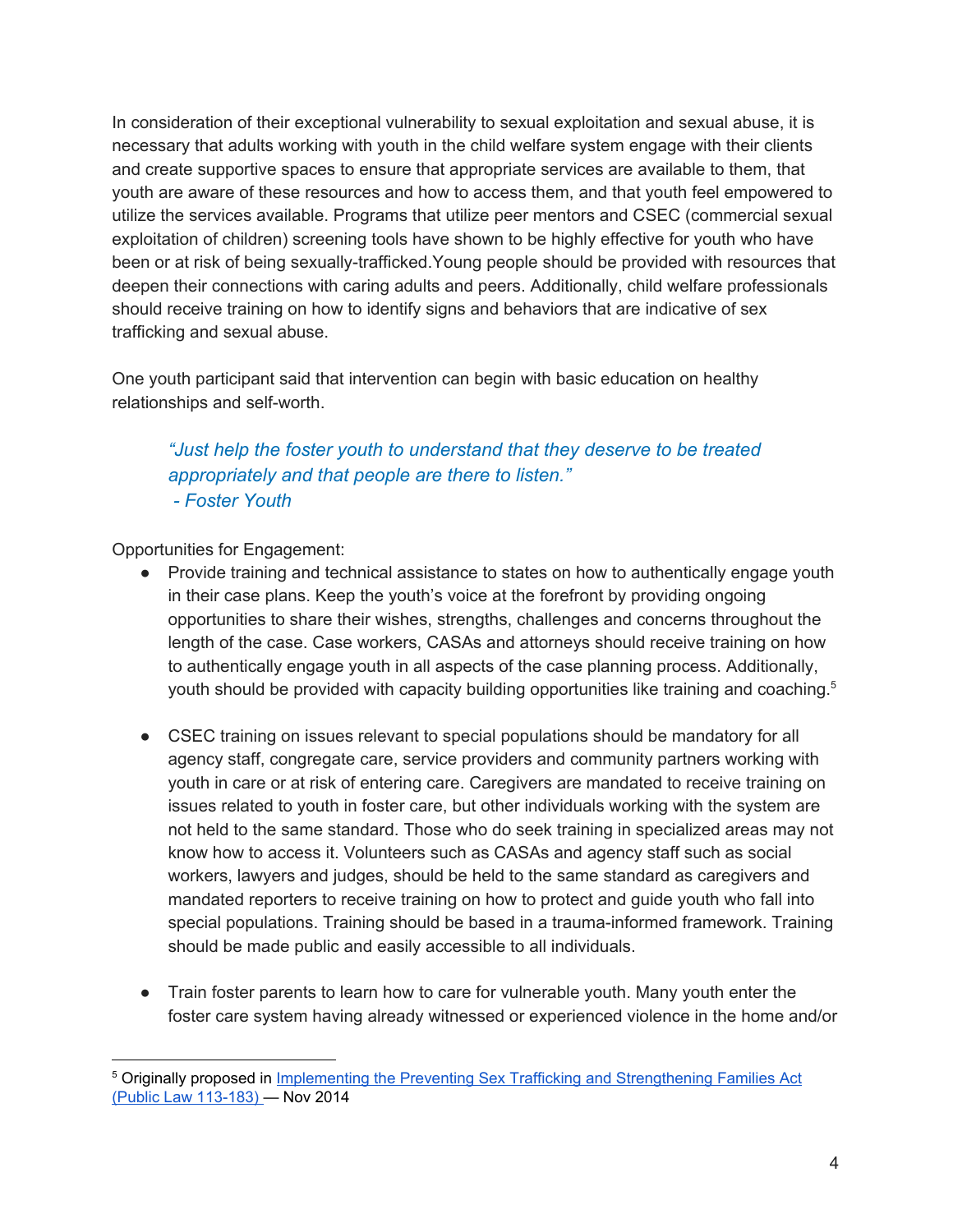In consideration of their exceptional vulnerability to sexual exploitation and sexual abuse, it is necessary that adults working with youth in the child welfare system engage with their clients and create supportive spaces to ensure that appropriate services are available to them, that youth are aware of these resources and how to access them, and that youth feel empowered to utilize the services available. Programs that utilize peer mentors and CSEC (commercial sexual exploitation of children) screening tools have shown to be highly effective for youth who have been or at risk of being sexually-trafficked.Young people should be provided with resources that deepen their connections with caring adults and peers. Additionally, child welfare professionals should receive training on how to identify signs and behaviors that are indicative of sex trafficking and sexual abuse.

One youth participant said that intervention can begin with basic education on healthy relationships and self-worth.

*"Just help the foster youth to understand that they deserve to be treated appropriately and that people are there to listen." - Foster Youth*

- Provide training and technical assistance to states on how to authentically engage youth in their case plans. Keep the youth's voice at the forefront by providing ongoing opportunities to share their wishes, strengths, challenges and concerns throughout the length of the case. Case workers, CASAs and attorneys should receive training on how to authentically engage youth in all aspects of the case planning process. Additionally, youth should be provided with capacity building opportunities like training and coaching.<sup>5</sup>
- CSEC training on issues relevant to special populations should be mandatory for all agency staff, congregate care, service providers and community partners working with youth in care or at risk of entering care. Caregivers are mandated to receive training on issues related to youth in foster care, but other individuals working with the system are not held to the same standard. Those who do seek training in specialized areas may not know how to access it. Volunteers such as CASAs and agency staff such as social workers, lawyers and judges, should be held to the same standard as caregivers and mandated reporters to receive training on how to protect and guide youth who fall into special populations. Training should be based in a trauma-informed framework. Training should be made public and easily accessible to all individuals.
- Train foster parents to learn how to care for vulnerable youth. Many youth enter the foster care system having already witnessed or experienced violence in the home and/or

<sup>&</sup>lt;sup>5</sup> Originally proposed in *Implementing the Preventing Sex Trafficking and [Strengthening](http://nationalpolicycouncil.org/sites/default/files/docs/landingpage/Public%20Law%20113_183%20Priorities.pdf) Families Act* (Public Law [113-183\)](http://nationalpolicycouncil.org/sites/default/files/docs/landingpage/Public%20Law%20113_183%20Priorities.pdf) — Nov 2014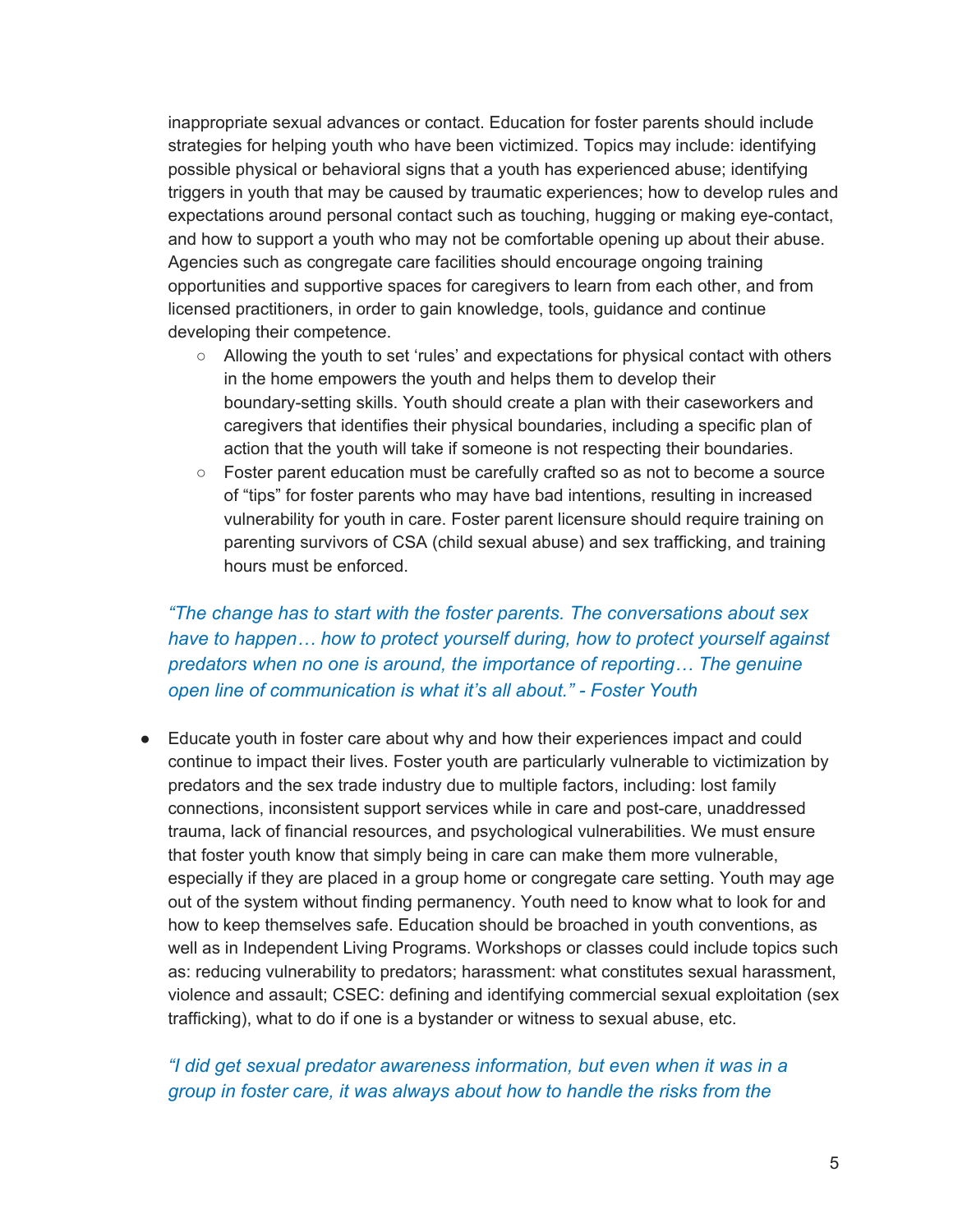inappropriate sexual advances or contact. Education for foster parents should include strategies for helping youth who have been victimized. Topics may include: identifying possible physical or behavioral signs that a youth has experienced abuse; identifying triggers in youth that may be caused by traumatic experiences; how to develop rules and expectations around personal contact such as touching, hugging or making eye-contact, and how to support a youth who may not be comfortable opening up about their abuse. Agencies such as congregate care facilities should encourage ongoing training opportunities and supportive spaces for caregivers to learn from each other, and from licensed practitioners, in order to gain knowledge, tools, guidance and continue developing their competence.

- Allowing the youth to set 'rules' and expectations for physical contact with others in the home empowers the youth and helps them to develop their boundary-setting skills. Youth should create a plan with their caseworkers and caregivers that identifies their physical boundaries, including a specific plan of action that the youth will take if someone is not respecting their boundaries.
- Foster parent education must be carefully crafted so as not to become a source of "tips" for foster parents who may have bad intentions, resulting in increased vulnerability for youth in care. Foster parent licensure should require training on parenting survivors of CSA (child sexual abuse) and sex trafficking, and training hours must be enforced.

## *"The change has to start with the foster parents. The conversations about sex have to happen… how to protect yourself during, how to protect yourself against predators when no one is around, the importance of reporting… The genuine open line of communication is what it's all about." - Foster Youth*

● Educate youth in foster care about why and how their experiences impact and could continue to impact their lives. Foster youth are particularly vulnerable to victimization by predators and the sex trade industry due to multiple factors, including: lost family connections, inconsistent support services while in care and post-care, unaddressed trauma, lack of financial resources, and psychological vulnerabilities. We must ensure that foster youth know that simply being in care can make them more vulnerable, especially if they are placed in a group home or congregate care setting. Youth may age out of the system without finding permanency. Youth need to know what to look for and how to keep themselves safe. Education should be broached in youth conventions, as well as in Independent Living Programs. Workshops or classes could include topics such as: reducing vulnerability to predators; harassment: what constitutes sexual harassment, violence and assault; CSEC: defining and identifying commercial sexual exploitation (sex trafficking), what to do if one is a bystander or witness to sexual abuse, etc.

### *"I did get sexual predator awareness information, but even when it was in a group in foster care, it was always about how to handle the risks from the*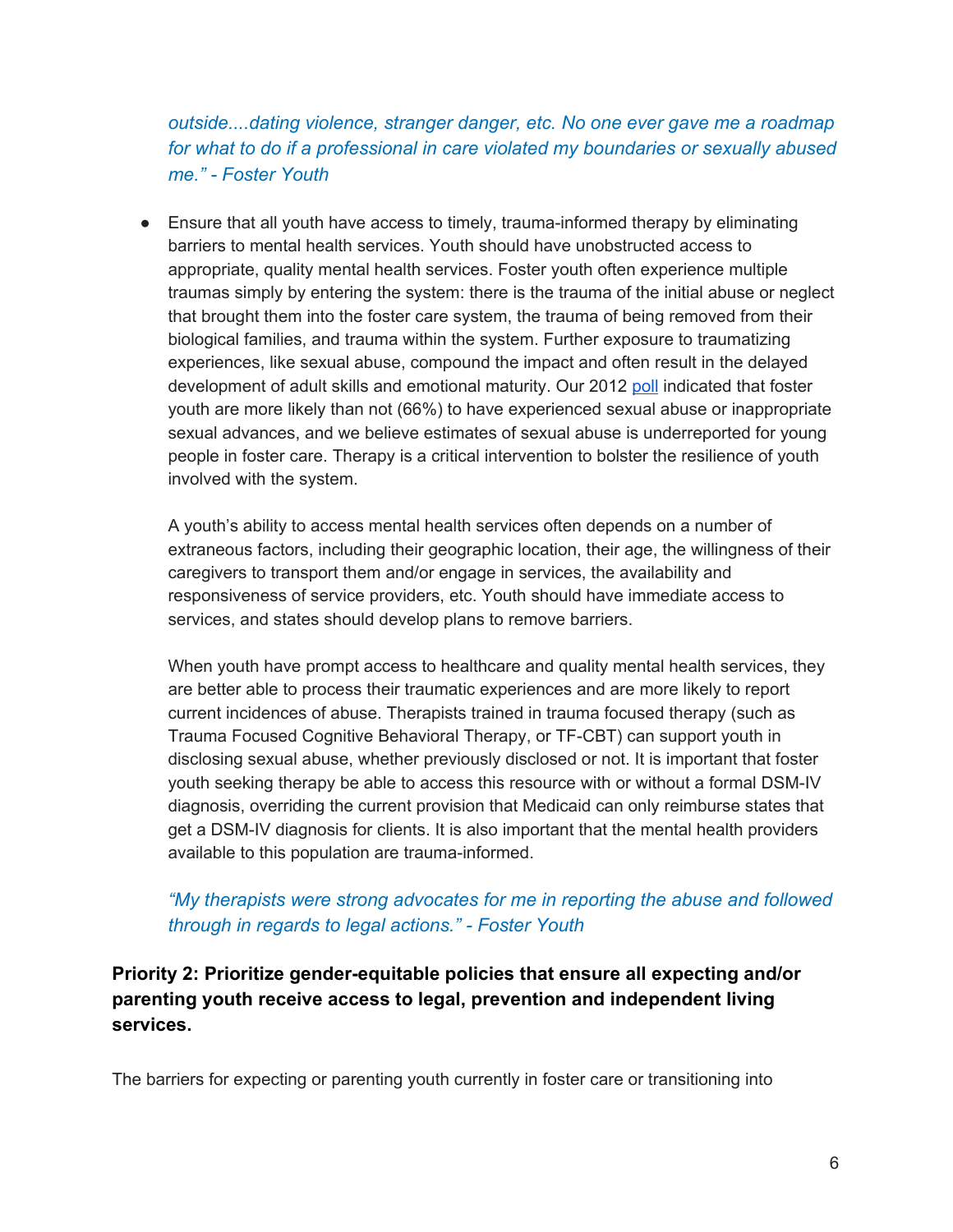*outside....dating violence, stranger danger, etc. No one ever gave me a roadmap for what to do if a professional in care violated my boundaries or sexually abused me." - Foster Youth*

● Ensure that all youth have access to timely, trauma-informed therapy by eliminating barriers to mental health services. Youth should have unobstructed access to appropriate, quality mental health services. Foster youth often experience multiple traumas simply by entering the system: there is the trauma of the initial abuse or neglect that brought them into the foster care system, the trauma of being removed from their biological families, and trauma within the system. Further exposure to traumatizing experiences, like sexual abuse, compound the impact and often result in the delayed development of adult skills and emotional maturity. Our 2012 [poll](http://nationalpolicycouncil.org/sites/default/files/docs/landingpage/Vulnerability%20Priorities.pdf) indicated that foster youth are more likely than not (66%) to have experienced sexual abuse or inappropriate sexual advances, and we believe estimates of sexual abuse is underreported for young people in foster care. Therapy is a critical intervention to bolster the resilience of youth involved with the system.

A youth's ability to access mental health services often depends on a number of extraneous factors, including their geographic location, their age, the willingness of their caregivers to transport them and/or engage in services, the availability and responsiveness of service providers, etc. Youth should have immediate access to services, and states should develop plans to remove barriers.

When youth have prompt access to healthcare and quality mental health services, they are better able to process their traumatic experiences and are more likely to report current incidences of abuse. Therapists trained in trauma focused therapy (such as Trauma Focused Cognitive Behavioral Therapy, or TF-CBT) can support youth in disclosing sexual abuse, whether previously disclosed or not. It is important that foster youth seeking therapy be able to access this resource with or without a formal DSM-IV diagnosis, overriding the current provision that Medicaid can only reimburse states that get a DSM-IV diagnosis for clients. It is also important that the mental health providers available to this population are trauma-informed.

#### *"My therapists were strong advocates for me in reporting the abuse and followed through in regards to legal actions." - Foster Youth*

<span id="page-5-0"></span>**Priority 2: Prioritize gender-equitable policies that ensure all expecting and/or parenting youth receive access to legal, prevention and independent living services.**

The barriers for expecting or parenting youth currently in foster care or transitioning into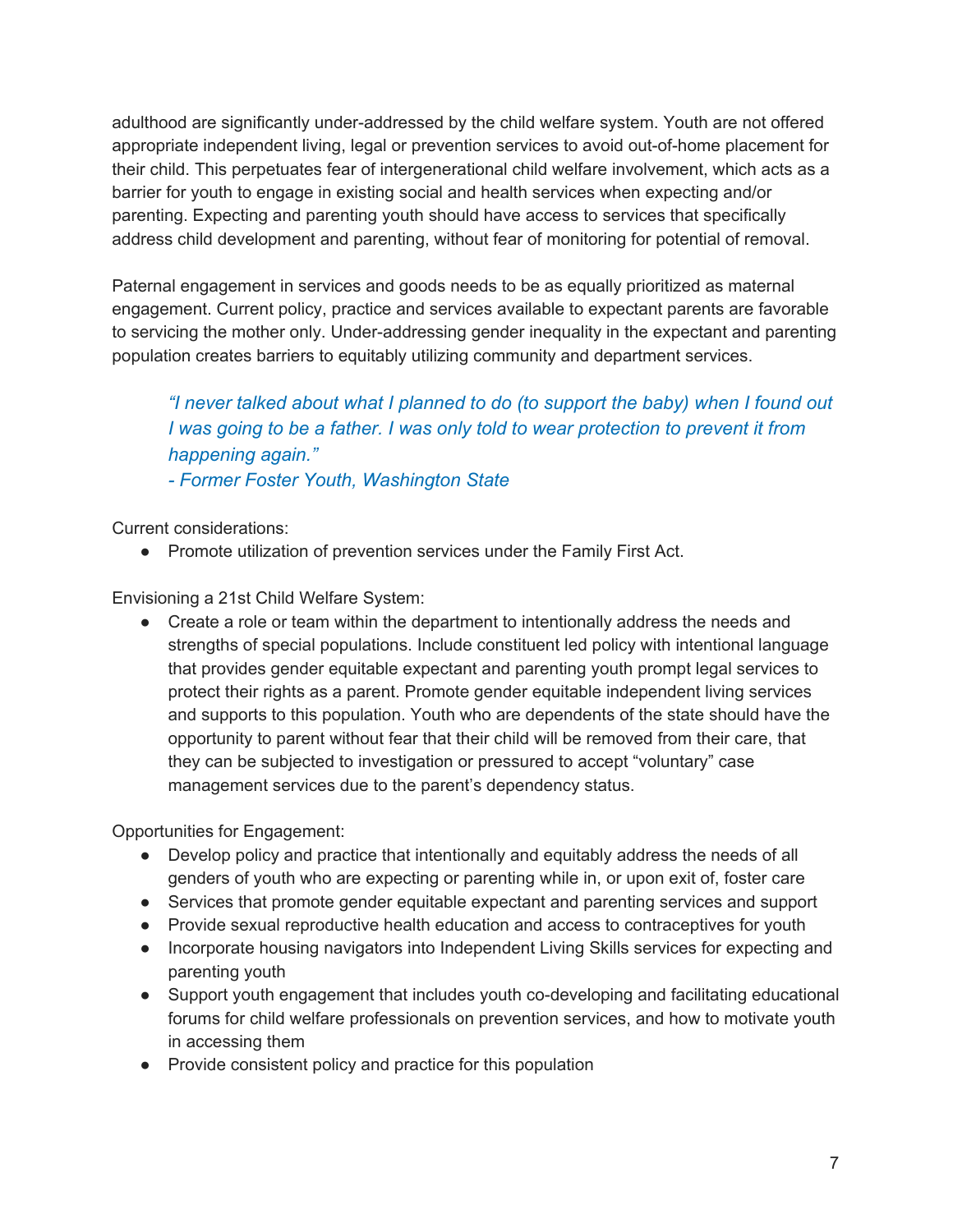adulthood are significantly under-addressed by the child welfare system. Youth are not offered appropriate independent living, legal or prevention services to avoid out-of-home placement for their child. This perpetuates fear of intergenerational child welfare involvement, which acts as a barrier for youth to engage in existing social and health services when expecting and/or parenting. Expecting and parenting youth should have access to services that specifically address child development and parenting, without fear of monitoring for potential of removal.

Paternal engagement in services and goods needs to be as equally prioritized as maternal engagement. Current policy, practice and services available to expectant parents are favorable to servicing the mother only. Under-addressing gender inequality in the expectant and parenting population creates barriers to equitably utilizing community and department services.

*"I never talked about what I planned to do (to support the baby) when I found out I was going to be a father. I was only told to wear protection to prevent it from happening again." - Former Foster Youth, Washington State*

Current considerations:

● Promote utilization of prevention services under the Family First Act.

Envisioning a 21st Child Welfare System:

• Create a role or team within the department to intentionally address the needs and strengths of special populations. Include constituent led policy with intentional language that provides gender equitable expectant and parenting youth prompt legal services to protect their rights as a parent. Promote gender equitable independent living services and supports to this population. Youth who are dependents of the state should have the opportunity to parent without fear that their child will be removed from their care, that they can be subjected to investigation or pressured to accept "voluntary" case management services due to the parent's dependency status.

- Develop policy and practice that intentionally and equitably address the needs of all genders of youth who are expecting or parenting while in, or upon exit of, foster care
- Services that promote gender equitable expectant and parenting services and support
- Provide sexual reproductive health education and access to contraceptives for youth
- Incorporate housing navigators into Independent Living Skills services for expecting and parenting youth
- Support youth engagement that includes youth co-developing and facilitating educational forums for child welfare professionals on prevention services, and how to motivate youth in accessing them
- Provide consistent policy and practice for this population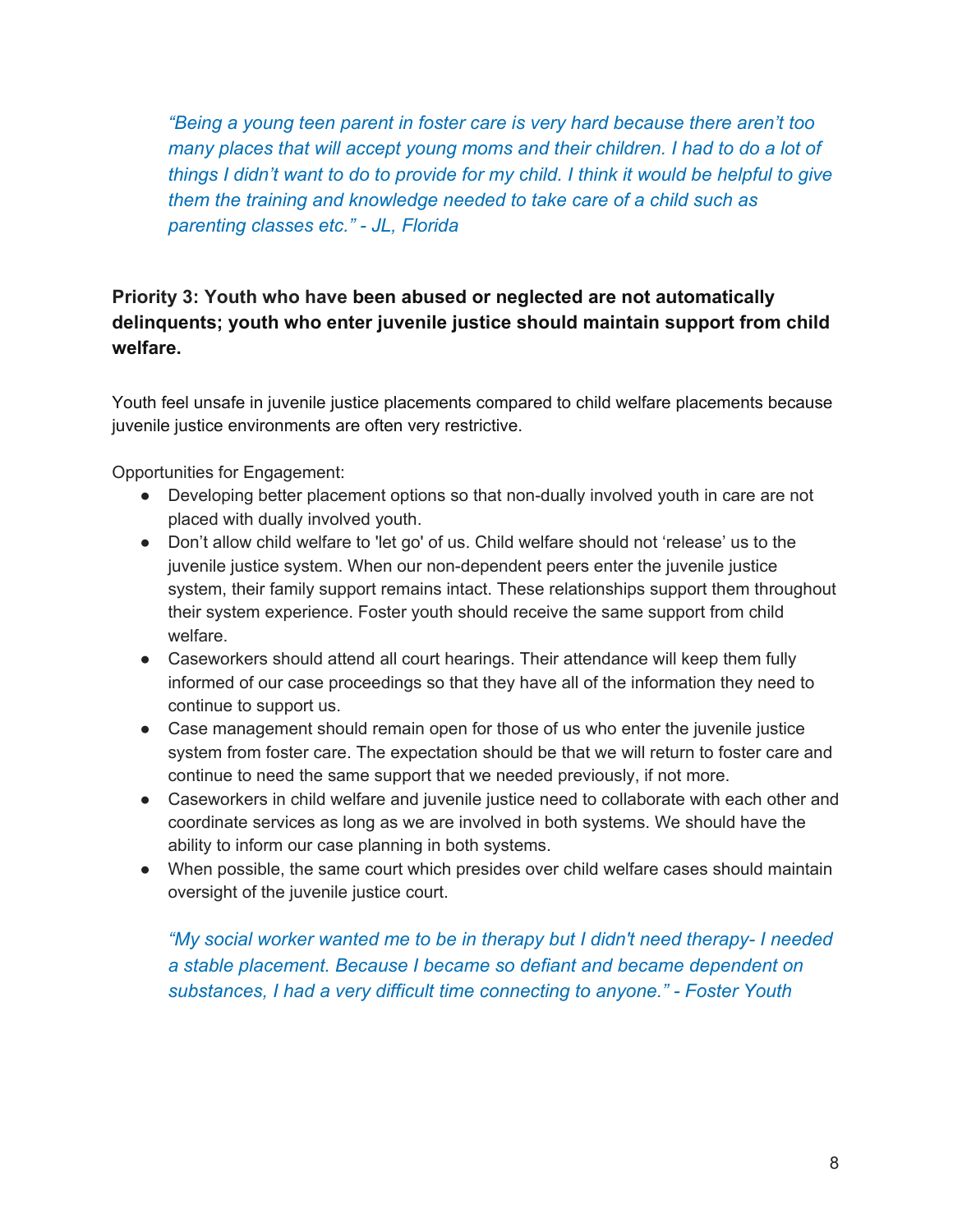*"Being a young teen parent in foster care is very hard because there aren't too many places that will accept young moms and their children. I had to do a lot of things I didn't want to do to provide for my child. I think it would be helpful to give them the training and knowledge needed to take care of a child such as parenting classes etc." - JL, Florida*

## <span id="page-7-0"></span>**Priority 3: Youth who have been abused or neglected are not automatically delinquents; youth who enter juvenile justice should maintain support from child welfare.**

Youth feel unsafe in juvenile justice placements compared to child welfare placements because juvenile justice environments are often very restrictive.

Opportunities for Engagement:

- Developing better placement options so that non-dually involved youth in care are not placed with dually involved youth.
- Don't allow child welfare to 'let go' of us. Child welfare should not 'release' us to the juvenile justice system. When our non-dependent peers enter the juvenile justice system, their family support remains intact. These relationships support them throughout their system experience. Foster youth should receive the same support from child welfare.
- Caseworkers should attend all court hearings. Their attendance will keep them fully informed of our case proceedings so that they have all of the information they need to continue to support us.
- Case management should remain open for those of us who enter the juvenile justice system from foster care. The expectation should be that we will return to foster care and continue to need the same support that we needed previously, if not more.
- Caseworkers in child welfare and juvenile justice need to collaborate with each other and coordinate services as long as we are involved in both systems. We should have the ability to inform our case planning in both systems.
- When possible, the same court which presides over child welfare cases should maintain oversight of the juvenile justice court.

*"My social worker wanted me to be in therapy but I didn't need therapy- I needed a stable placement. Because I became so defiant and became dependent on substances, I had a very difficult time connecting to anyone." - Foster Youth*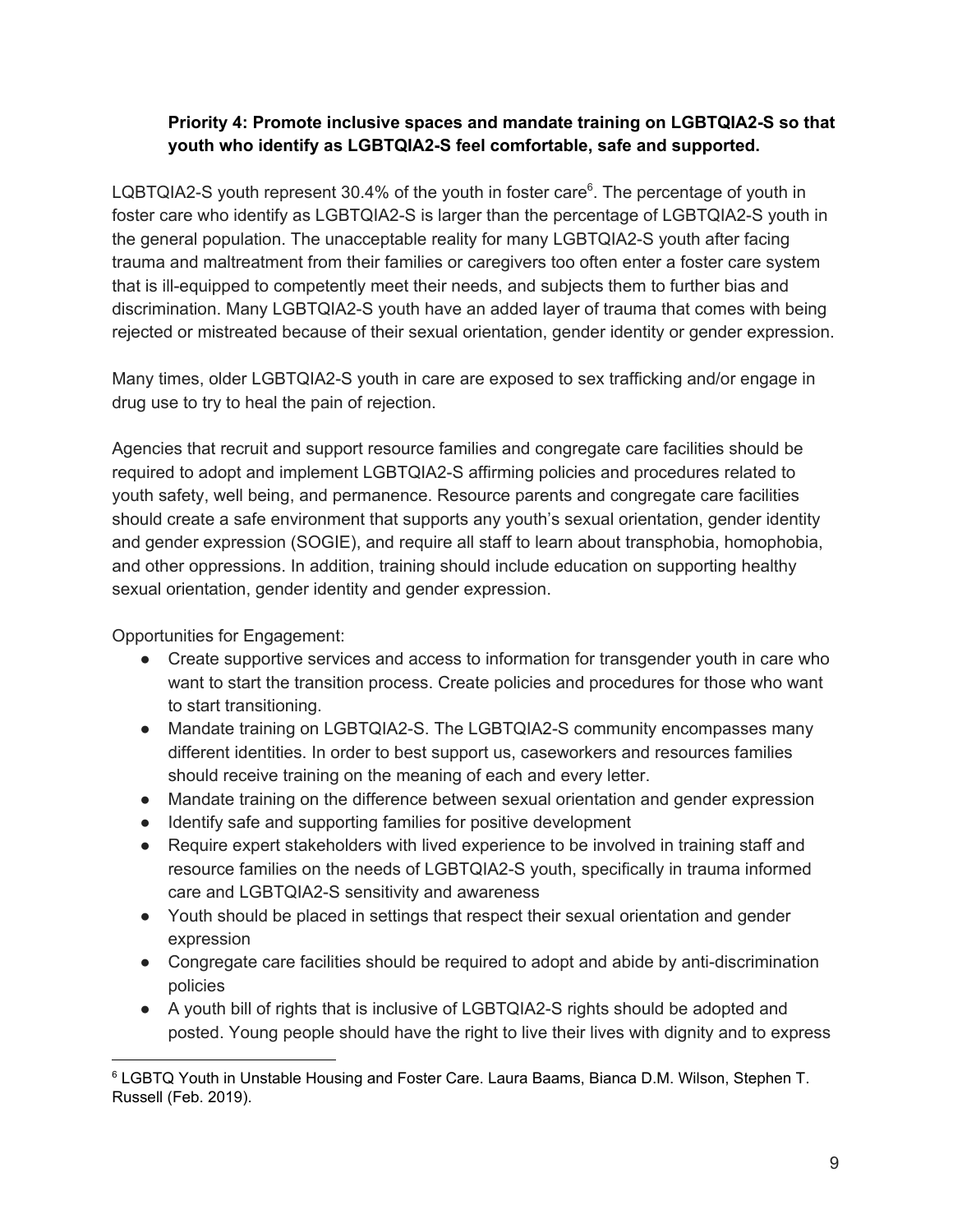#### **Priority 4: Promote inclusive spaces and mandate training on LGBTQIA2-S so that youth who identify as LGBTQIA2-S feel comfortable, safe and supported.**

LQBTQIA2-S youth represent 30.4% of the youth in foster care $6$ . The percentage of youth in foster care who identify as LGBTQIA2-S is larger than the percentage of LGBTQIA2-S youth in the general population. The unacceptable reality for many LGBTQIA2-S youth after facing trauma and maltreatment from their families or caregivers too often enter a foster care system that is ill-equipped to competently meet their needs, and subjects them to further bias and discrimination. Many LGBTQIA2-S youth have an added layer of trauma that comes with being rejected or mistreated because of their sexual orientation, gender identity or gender expression.

Many times, older LGBTQIA2-S youth in care are exposed to sex trafficking and/or engage in drug use to try to heal the pain of rejection.

Agencies that recruit and support resource families and congregate care facilities should be required to adopt and implement LGBTQIA2-S affirming policies and procedures related to youth safety, well being, and permanence. Resource parents and congregate care facilities should create a safe environment that supports any youth's sexual orientation, gender identity and gender expression (SOGIE), and require all staff to learn about transphobia, homophobia, and other oppressions. In addition, training should include education on supporting healthy sexual orientation, gender identity and gender expression.

- Create supportive services and access to information for transgender youth in care who want to start the transition process. Create policies and procedures for those who want to start transitioning.
- Mandate training on LGBTQIA2-S. The LGBTQIA2-S community encompasses many different identities. In order to best support us, caseworkers and resources families should receive training on the meaning of each and every letter.
- Mandate training on the difference between sexual orientation and gender expression
- Identify safe and supporting families for positive development
- Require expert stakeholders with lived experience to be involved in training staff and resource families on the needs of LGBTQIA2-S youth, specifically in trauma informed care and LGBTQIA2-S sensitivity and awareness
- Youth should be placed in settings that respect their sexual orientation and gender expression
- Congregate care facilities should be required to adopt and abide by anti-discrimination policies
- A youth bill of rights that is inclusive of LGBTQIA2-S rights should be adopted and posted. Young people should have the right to live their lives with dignity and to express

<sup>6</sup> LGBTQ Youth in Unstable Housing and Foster Care. Laura Baams, Bianca D.M. Wilson, Stephen T. Russell (Feb. 2019).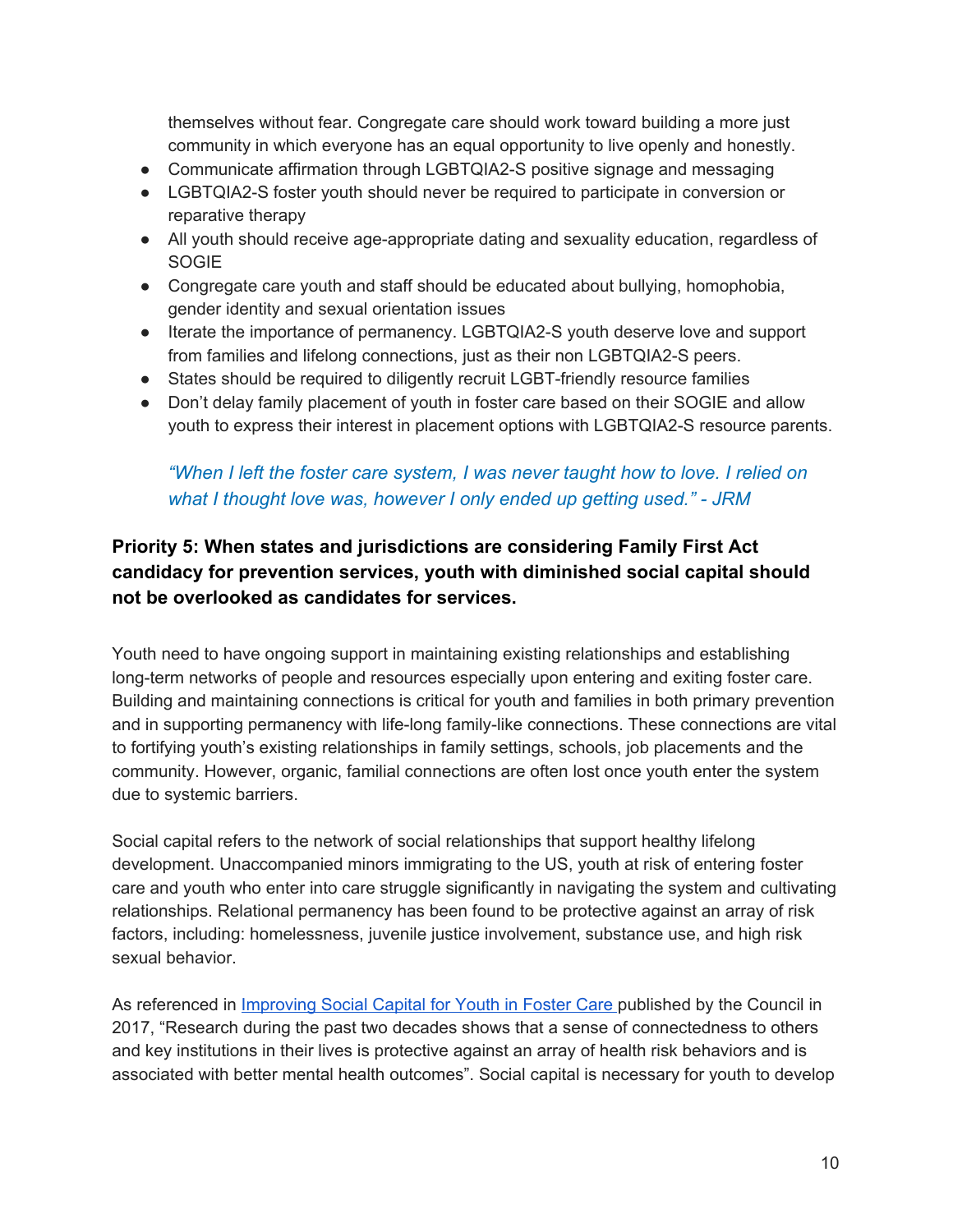themselves without fear. Congregate care should work toward building a more just community in which everyone has an equal opportunity to live openly and honestly.

- Communicate affirmation through LGBTQIA2-S positive signage and messaging
- LGBTQIA2-S foster youth should never be required to participate in conversion or reparative therapy
- All youth should receive age-appropriate dating and sexuality education, regardless of SOGIE
- Congregate care youth and staff should be educated about bullying, homophobia, gender identity and sexual orientation issues
- Iterate the importance of permanency. LGBTQIA2-S youth deserve love and support from families and lifelong connections, just as their non LGBTQIA2-S peers.
- States should be required to diligently recruit LGBT-friendly resource families
- Don't delay family placement of youth in foster care based on their SOGIE and allow youth to express their interest in placement options with LGBTQIA2-S resource parents.

## *"When I left the foster care system, I was never taught how to love. I relied on what I thought love was, however I only ended up getting used." - JRM*

## <span id="page-9-0"></span>**Priority 5: When states and jurisdictions are considering Family First Act candidacy for prevention services, youth with diminished social capital should not be overlooked as candidates for services.**

Youth need to have ongoing support in maintaining existing relationships and establishing long-term networks of people and resources especially upon entering and exiting foster care. Building and maintaining connections is critical for youth and families in both primary prevention and in supporting permanency with life-long family-like connections. These connections are vital to fortifying youth's existing relationships in family settings, schools, job placements and the community. However, organic, familial connections are often lost once youth enter the system due to systemic barriers.

Social capital refers to the network of social relationships that support healthy lifelong development. Unaccompanied minors immigrating to the US, youth at risk of entering foster care and youth who enter into care struggle significantly in navigating the system and cultivating relationships. Relational permanency has been found to be protective against an array of risk factors, including: homelessness, juvenile justice involvement, substance use, and high risk sexual behavior.

As referenced in [Improving](http://nationalpolicycouncil.org/sites/default/files/docs/landingpage/Improving%20Social%20Capital%20for%20Youth%20in%20Foster%20Care%20%281%29.pdf) Social Capital for Youth in Foster Care published by the Council in 2017, "Research during the past two decades shows that a sense of connectedness to others and key institutions in their lives is protective against an array of health risk behaviors and is associated with better mental health outcomes". Social capital is necessary for youth to develop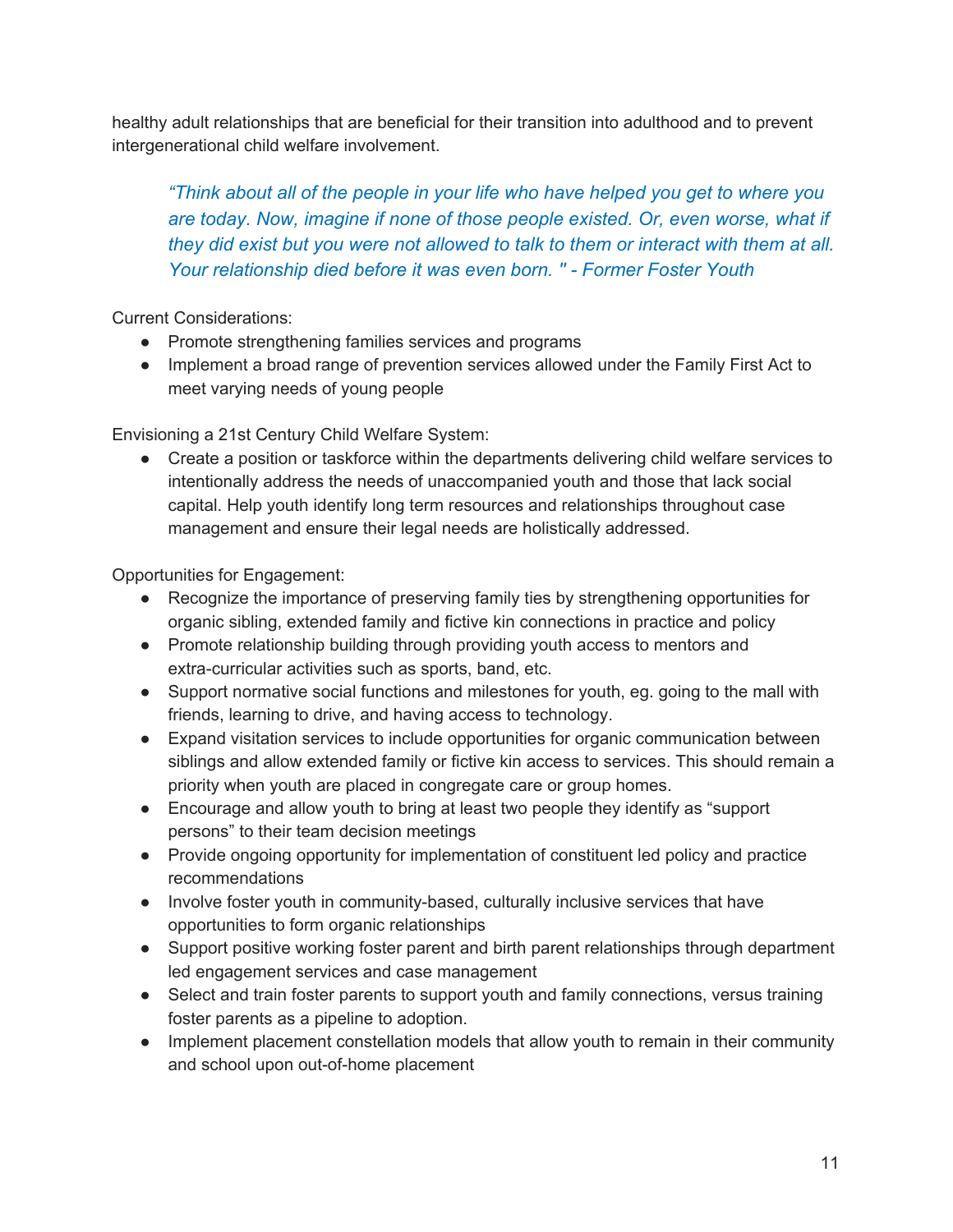healthy adult relationships that are beneficial for their transition into adulthood and to prevent intergenerational child welfare involvement.

*"Think about all of the people in your life who have helped you get to where you are today. Now, imagine if none of those people existed. Or, even worse, what if they did exist but you were not allowed to talk to them or interact with them at all. Your relationship died before it was even born. '' - Former Foster Youth*

Current Considerations:

- Promote strengthening families services and programs
- Implement a broad range of prevention services allowed under the Family First Act to meet varying needs of young people

Envisioning a 21st Century Child Welfare System:

● Create a position or taskforce within the departments delivering child welfare services to intentionally address the needs of unaccompanied youth and those that lack social capital. Help youth identify long term resources and relationships throughout case management and ensure their legal needs are holistically addressed.

- Recognize the importance of preserving family ties by strengthening opportunities for organic sibling, extended family and fictive kin connections in practice and policy
- Promote relationship building through providing youth access to mentors and extra-curricular activities such as sports, band, etc.
- Support normative social functions and milestones for youth, eg. going to the mall with friends, learning to drive, and having access to technology.
- Expand visitation services to include opportunities for organic communication between siblings and allow extended family or fictive kin access to services. This should remain a priority when youth are placed in congregate care or group homes.
- Encourage and allow youth to bring at least two people they identify as "support" persons" to their team decision meetings
- Provide ongoing opportunity for implementation of constituent led policy and practice recommendations
- Involve foster youth in community-based, culturally inclusive services that have opportunities to form organic relationships
- Support positive working foster parent and birth parent relationships through department led engagement services and case management
- Select and train foster parents to support youth and family connections, versus training foster parents as a pipeline to adoption.
- Implement placement constellation models that allow youth to remain in their community and school upon out-of-home placement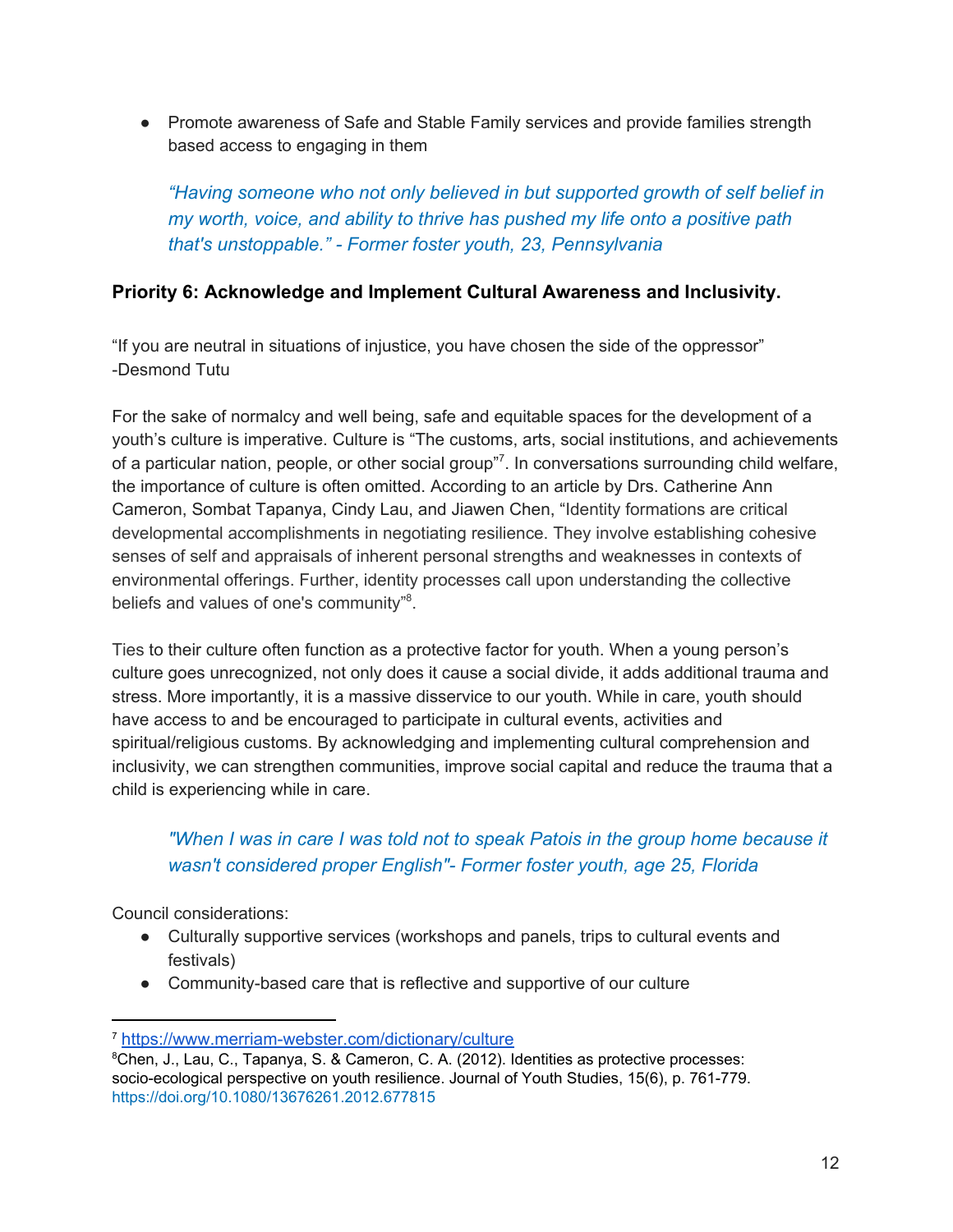● Promote awareness of Safe and Stable Family services and provide families strength based access to engaging in them

*"Having someone who not only believed in but supported growth of self belief in my worth, voice, and ability to thrive has pushed my life onto a positive path that's unstoppable." - Former foster youth, 23, Pennsylvania*

### <span id="page-11-0"></span>**Priority 6: Acknowledge and Implement Cultural Awareness and Inclusivity.**

"If you are neutral in situations of injustice, you have chosen the side of the oppressor" -Desmond Tutu

For the sake of normalcy and well being, safe and equitable spaces for the development of a youth's culture is imperative. Culture is "The customs, arts, social institutions, and achievements of a particular nation, people, or other social group"<sup>7</sup>. In conversations surrounding child welfare, the importance of culture is often omitted. According to an article by Drs. Catherine Ann Cameron, Sombat Tapanya, Cindy Lau, and Jiawen Chen, "Identity formations are critical developmental accomplishments in negotiating resilience. They involve establishing cohesive senses of self and appraisals of inherent personal strengths and weaknesses in contexts of environmental offerings. Further, identity processes call upon understanding the collective beliefs and values of one's community"<sup>8</sup>.

Ties to their culture often function as a protective factor for youth. When a young person's culture goes unrecognized, not only does it cause a social divide, it adds additional trauma and stress. More importantly, it is a massive disservice to our youth. While in care, youth should have access to and be encouraged to participate in cultural events, activities and spiritual/religious customs. By acknowledging and implementing cultural comprehension and inclusivity, we can strengthen communities, improve social capital and reduce the trauma that a child is experiencing while in care.

## *"When I was in care I was told not to speak Patois in the group home because it wasn't considered proper English"- Former foster youth, age 25, Florida*

Council considerations:

- Culturally supportive services (workshops and panels, trips to cultural events and festivals)
- Community-based care that is reflective and supportive of our culture

<sup>7</sup> <https://www.merriam-webster.com/dictionary/culture>

<sup>8</sup>Chen, J., Lau, C., Tapanya, S. & Cameron, C. A. (2012). Identities as protective processes: socio-ecological perspective on youth resilience. Journal of Youth Studies, 15(6), p. 761-779. <https://doi.org/10.1080/13676261.2012.677815>